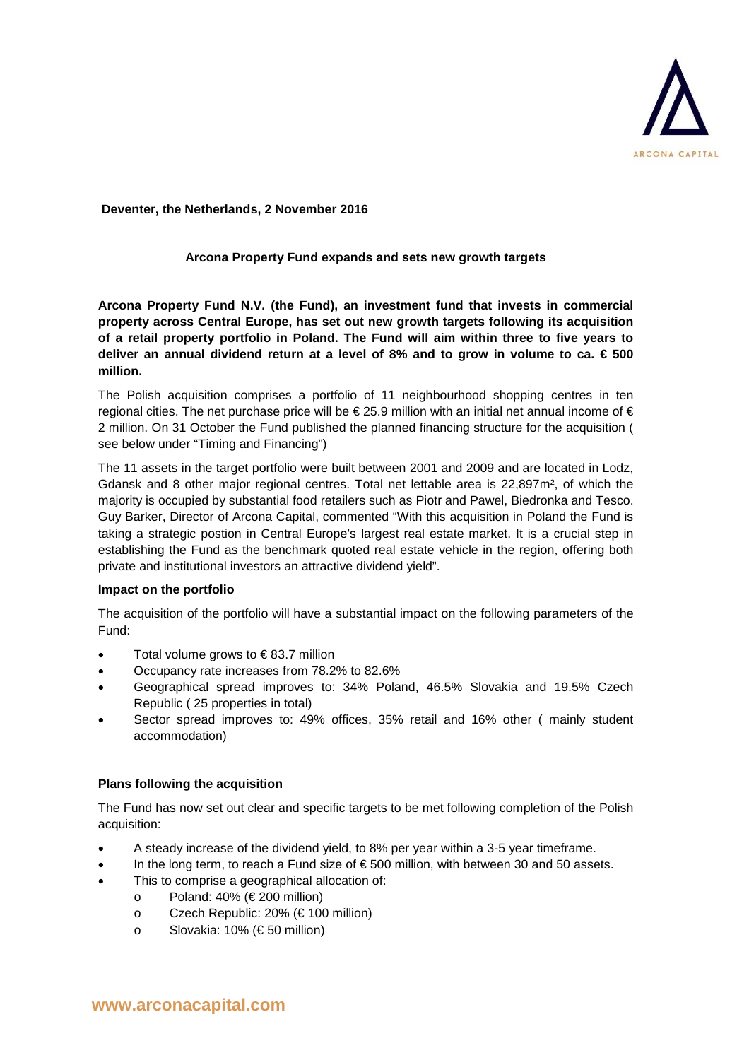

**Deventer, the Netherlands, 2 November 2016**

## **Arcona Property Fund expands and sets new growth targets**

**Arcona Property Fund N.V. (the Fund), an investment fund that invests in commercial property across Central Europe, has set out new growth targets following its acquisition of a retail property portfolio in Poland. The Fund will aim within three to five years to deliver an annual dividend return at a level of 8% and to grow in volume to ca. € 500 million.** 

The Polish acquisition comprises a portfolio of 11 neighbourhood shopping centres in ten regional cities. The net purchase price will be €25.9 million with an initial net annual income of € 2 million. On 31 October the Fund published the planned financing structure for the acquisition ( see below under "Timing and Financing")

The 11 assets in the target portfolio were built between 2001 and 2009 and are located in Lodz, Gdansk and 8 other major regional centres. Total net lettable area is 22,897m², of which the majority is occupied by substantial food retailers such as Piotr and Pawel, Biedronka and Tesco. Guy Barker, Director of Arcona Capital, commented "With this acquisition in Poland the Fund is taking a strategic postion in Central Europe's largest real estate market. It is a crucial step in establishing the Fund as the benchmark quoted real estate vehicle in the region, offering both private and institutional investors an attractive dividend yield".

### **Impact on the portfolio**

The acquisition of the portfolio will have a substantial impact on the following parameters of the Fund:

- Total volume grows to  $\epsilon$ 83.7 million
- Occupancy rate increases from 78.2% to 82.6%
- Geographical spread improves to: 34% Poland, 46.5% Slovakia and 19.5% Czech Republic ( 25 properties in total)
- Sector spread improves to: 49% offices, 35% retail and 16% other ( mainly student accommodation)

# **Plans following the acquisition**

The Fund has now set out clear and specific targets to be met following completion of the Polish acquisition:

- A steady increase of the dividend yield, to 8% per year within a 3-5 year timeframe.
- In the long term, to reach a Fund size of  $\epsilon$  500 million, with between 30 and 50 assets.
- This to comprise a geographical allocation of:
	- o Poland: 40% (€ 200 million)
	- o Czech Republic: 20% (€ 100 million)
	- o Slovakia: 10% (€ 50 million)